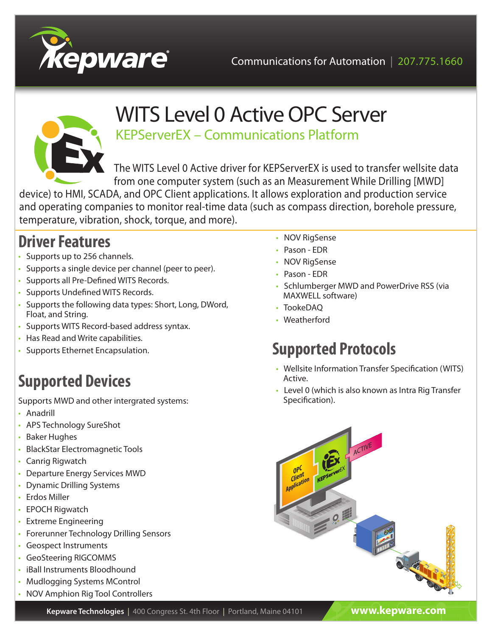



# WITS Level 0 Active OPC Server

KEPServerEX – Communications Platform

The WITS Level 0 Active driver for KEPServerEX is used to transfer wellsite data from one computer system (such as an Measurement While Drilling [MWD]

device) to HMI, SCADA, and OPC Client applications. It allows exploration and production service and operating companies to monitor real-time data (such as compass direction, borehole pressure, temperature, vibration, shock, torque, and more).

#### **Driver Features**

- Supports up to 256 channels.
- Supports a single device per channel (peer to peer).
- Supports all Pre-Defined WITS Records.
- Supports Undefined WITS Records.
- Supports the following data types: Short, Long, DWord, Float, and String.
- Supports WITS Record-based address syntax.
- Has Read and Write capabilities.
- Supports Ethernet Encapsulation.

## **Supported Devices**

Supports MWD and other intergrated systems:

- Anadrill
- APS Technology SureShot
- Baker Hughes
- BlackStar Electromagnetic Tools
- Canrig Rigwatch
- Departure Energy Services MWD
- Dynamic Drilling Systems
- Erdos Miller
- EPOCH Rigwatch
- Extreme Engineering
- Forerunner Technology Drilling Sensors
- Geospect Instruments
- GeoSteering RIGCOMMS
- iBall Instruments Bloodhound
- Mudlogging Systems MControl
- NOV Amphion Rig Tool Controllers
- NOV RigSense
- Pason EDR
- NOV RigSense
- Pason EDR
- Schlumberger MWD and PowerDrive RSS (via MAXWELL software)
- TookeDAQ
- Weatherford

## **Supported Protocols**

- Wellsite Information Transfer Specification (WITS) Active.
- Level 0 (which is also known as Intra Rig Transfer Specification).